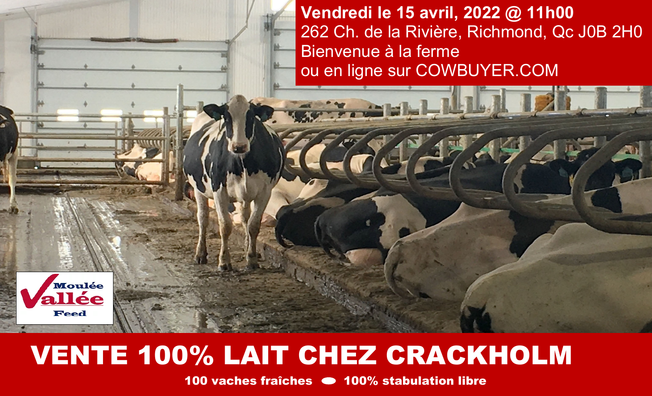**Vendredi le 15 avril, 2022 @ 11h00**  262 Ch. de la Rivière, Richmond, Qc J0B 2H0 Bienvenue à la ferme ou en ligne sur COWBUYER.COM



## VENTE 100% LAIT CHEZ CRACKHOLM

100 vaches fraîches • 100% stabulation libre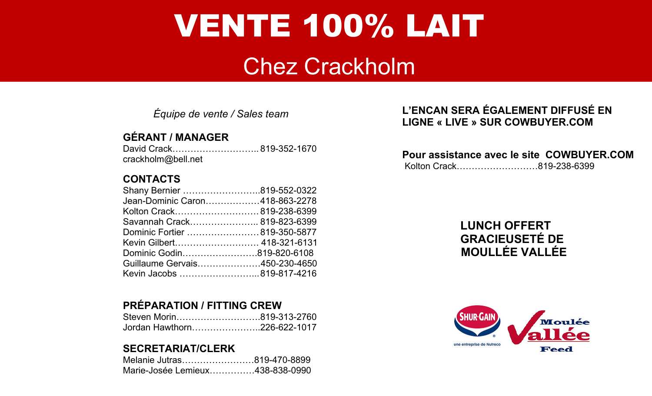# VENTE 100% LAIT

### Chez Crackholm

*Équipe de vente / Sales team* 

#### **GÉRANT / MANAGER**

| David Crack819-352-1670 |  |
|-------------------------|--|
| crackholm@bell.net      |  |

#### **CONTACTS**

| Shany Bernier 819-552-0322     |  |
|--------------------------------|--|
| Jean-Dominic Caron418-863-2278 |  |
| Kolton Crack 819-238-6399      |  |
| Savannah Crack 819-823-6399    |  |
| Dominic Fortier  819-350-5877  |  |
| Kevin Gilbert 418-321-6131     |  |
| Dominic Godin819-820-6108      |  |
| Guillaume Gervais450-230-4650  |  |
| Kevin Jacobs 819-817-4216      |  |

#### **PRÉPARATION / FITTING CREW**

| Steven Morin819-313-2760    |  |
|-----------------------------|--|
| Jordan Hawthorn226-622-1017 |  |

#### **SECRETARIAT/CLERK**

| Melanie Jutras819-470-8899      |  |
|---------------------------------|--|
| Marie-Josée Lemieux438-838-0990 |  |

#### **L'ENCAN SERA ÉGALEMENT DIFFUSÉ EN LIGNE « LIVE » SUR COWBUYER.COM**

#### **Pour assistance avec le site COWBUYER.COM**

Kolton Crack………………………819-238-6399

#### **LUNCH OFFERT GRACIEUSETÉ DE MOULLÉE VALLÉE**

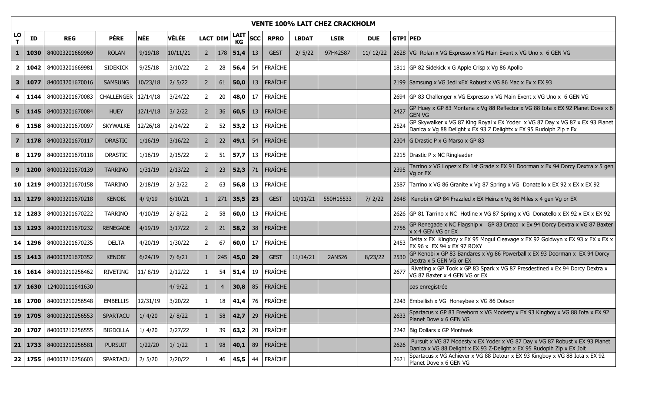|                         | <b>VENTE 100% LAIT CHEZ CRACKHOLM</b> |                             |                 |          |          |                |     |                   |     |                |              |             |            |                                                                                                                                                                |
|-------------------------|---------------------------------------|-----------------------------|-----------------|----------|----------|----------------|-----|-------------------|-----|----------------|--------------|-------------|------------|----------------------------------------------------------------------------------------------------------------------------------------------------------------|
| LO<br>T                 | ID                                    | <b>REG</b>                  | <b>PÈRE</b>     | NÉE      | VÊLÉE    | LACT DIM       |     | <b>LAIT</b><br>KG | SCC | <b>RPRO</b>    | <b>LBDAT</b> | <b>LSIR</b> | <b>DUE</b> | <b>GTPI PED</b>                                                                                                                                                |
| 1                       | 1030                                  | 840003201669969             | <b>ROLAN</b>    | 9/19/18  | 10/11/21 | $\overline{2}$ | 178 | 51,4              | 13  | <b>GEST</b>    | 2/5/22       | 97H42587    | 11/12/22   | 2628   VG Rolan x VG Expresso x VG Main Event x VG Uno x 6 GEN VG                                                                                              |
| $\mathbf{2}$            | 1042                                  | 840003201669981             | <b>SIDEKICK</b> | 9/25/18  | 3/10/22  | $\overline{2}$ | 28  | 56,4              | 54  | FRAÎCHE        |              |             |            | 1811 GP 82 Sidekick x G Apple Crisp x Vg 86 Apollo                                                                                                             |
| 3                       | 1077                                  | 840003201670016             | <b>SAMSUNG</b>  | 10/23/18 | 2/5/22   | $\overline{2}$ | 61  | 50,0              | 13  | FRAÎCHE        |              |             |            | 2199 Samsung x VG Jedi xEX Robust x VG 86 Mac x Ex x EX 93                                                                                                     |
| 4                       | 1144                                  | 840003201670083             | CHALLENGER      | 12/14/18 | 3/24/22  | $\overline{2}$ | 20  | 48,0              | 17  | FRAÎCHE        |              |             |            | 2694 GP 83 Challenger x VG Expresso x VG Main Event x VG Uno x 6 GEN VG                                                                                        |
| 5                       | 1145                                  | 840003201670084             | <b>HUEY</b>     | 12/14/18 | 3/2/22   | $\overline{2}$ | 36  | 60,5              | 13  | FRAÎCHE        |              |             |            | GP Huey x GP 83 Montana x Vg 88 Reflector x VG 88 Iota x EX 92 Planet Dove x 6<br>2427<br>gen vg                                                               |
| 6                       | 1158                                  | 840003201670097             | <b>SKYWALKE</b> | 12/26/18 | 2/14/22  | 2              | 52  | 53,2              | 13  | FRAÎCHE        |              |             |            | GP Skywalker x VG 87 King Royal x EX Yoder x VG 87 Day x VG 87 x EX 93 Planet<br>Danica x Vg 88 Delight x EX 93 Z Delightx x EX 95 Rudolph Zip z Ex            |
| $\overline{\mathbf{z}}$ | 1178                                  | 840003201670117             | <b>DRASTIC</b>  | 1/16/19  | 3/16/22  | $\overline{2}$ | 22  | 49,1              | 54  | <b>FRAÎCHE</b> |              |             |            | 2304 G Drastic P x G Marso x GP 83                                                                                                                             |
| 8                       | 1179                                  | 840003201670118             | <b>DRASTIC</b>  | 1/16/19  | 2/15/22  | $\overline{2}$ | 51  | 57,7              | 13  | FRAÎCHE        |              |             |            | 2215 Drastic P x NC Ringleader                                                                                                                                 |
| 9                       | 1200                                  | 840003201670139             | <b>TARRINO</b>  | 1/31/19  | 2/13/22  | $\overline{2}$ | 23  | 52,3              | 71  | <b>FRAÎCHE</b> |              |             |            | Tarrino x VG Lopez x Ex 1st Grade x EX 91 Doorman x Ex 94 Dorcy Dextra x 5 gen<br>2395<br>Vg or EX                                                             |
|                         | 10 1219                               | 840003201670158             | <b>TARRINO</b>  | 2/18/19  | 2/3/22   | $\overline{2}$ | 63  | 56,8              | 13  | FRAÎCHE        |              |             |            | 2587 Tarrino x VG 86 Granite x Vg 87 Spring x VG Donatello x EX 92 x EX x EX 92                                                                                |
| 11 <sub>1</sub>         | 1279                                  | 840003201670218             | <b>KENOBI</b>   | 4/9/19   | 6/10/21  | $\mathbf{1}$   | 271 | 35,5              | 23  | <b>GEST</b>    | 10/11/21     | 550H15533   | 7/2/22     | 2648   Kenobi x GP 84 Frazzled x EX Heinz x Vg 86 Miles x 4 gen Vg or EX                                                                                       |
|                         | $12 \mid 1283$                        | 840003201670222             | <b>TARRINO</b>  | 4/10/19  | 2/8/22   | $\overline{2}$ | 58  | 60,0              | 13  | FRAÎCHE        |              |             |            | 2626 GP 81 Tarrino x NC Hotline x VG 87 Spring x VG Donatello x EX 92 x EX x EX 92                                                                             |
| 13 <sup>1</sup>         | 1293                                  | 840003201670232             | <b>RENEGADE</b> | 4/19/19  | 3/17/22  | $\overline{2}$ | 21  | 58,2              | 38  | FRAÎCHE        |              |             |            | GP Renegade x NC Flagship x GP 83 Draco x Ex 94 Dorcy Dextra x VG 87 Baxter<br>2756<br>x x 4 GEN VG or EX                                                      |
|                         | 14 1296                               | 840003201670235             | <b>DELTA</b>    | 4/20/19  | 1/30/22  | $\overline{2}$ | 67  | 60,0              | 17  | FRAÎCHE        |              |             |            | Delta x EX Kingboy x EX 95 Mogul Cleavage x EX 92 Goldwyn x EX 93 x EX x EX x<br>2453<br>EX 96 x EX 94 x EX 97 ROXY                                            |
|                         | $15 \mid 1413$                        | 840003201670352             | <b>KENOBI</b>   | 6/24/19  | 7/6/21   | $\mathbf{1}$   | 245 | 45,0              | 29  | <b>GEST</b>    | 11/14/21     | 2AN526      | 8/23/22    | GP Kenobi x GP 83 Bandares x Vg 86 Powerball x EX 93 Doorman x EX 94 Dorcy<br>2530<br>Dextra x 5 GEN VG or EX                                                  |
|                         | 16 1614                               | 840003210256462             | RIVETING        | 11/8/19  | 2/12/22  | $\mathbf{1}$   | 54  | 51,4              | 19  | FRAÎCHE        |              |             |            | Riveting x GP Took x GP 83 Spark x VG 87 Presdestined x Ex 94 Dorcy Dextra x<br>2677<br>VG 87 Baxter x 4 GEN VG or EX                                          |
| 17 <sup>1</sup>         | 1630                                  | 124000111641630             |                 |          | 4/9/22   | $\mathbf{1}$   | 4   | 30,8              | 85  | FRAÎCHE        |              |             |            | pas enregistrée                                                                                                                                                |
|                         |                                       | 18   1700   840003210256548 | EMBELLIS        | 12/31/19 | 3/20/22  | 1              | 18  | 41,4              | 76  | FRAÎCHE        |              |             |            | 2243 Embellish x VG Honeybee x VG 86 Dotson                                                                                                                    |
|                         | 19 1705                               | 840003210256553             | <b>SPARTACU</b> | 1/4/20   | 2/8/22   | 1              | 58  | 42,7              | 29  | <b>FRAÎCHE</b> |              |             |            | Spartacus x GP 83 Freeborn x VG Modesty x EX 93 Kingboy x VG 88 Iota x EX 92<br>2633<br>Planet Dove x 6 GEN VG                                                 |
|                         | 20 1707                               | 840003210256555             | <b>BIGDOLLA</b> | 1/4/20   | 2/27/22  | $\mathbf{1}$   | 39  | 63,2              | 20  | FRAÎCHE        |              |             |            | 2242 Big Dollars x GP Montawk                                                                                                                                  |
|                         | $21$ 1733                             | 840003210256581             | <b>PURSUIT</b>  | 1/22/20  | 1/1/22   | -1             | 98  | 40,1              | 89  | FRAÎCHE        |              |             |            | Pursuit x VG 87 Modesty x EX Yoder x VG 87 Day x VG 87 Robust x EX 93 Planet<br>2626<br>Danica x VG 88 Delight x EX 93 Z-Delight x EX 95 Rudoplh Zip x EX Jolt |
|                         | 22   1755                             | 840003210256603             | SPARTACU        | 2/5/20   | 2/20/22  |                | 46  | 45,5              | 44  | FRAÎCHE        |              |             |            | Spartacus x VG Achiever x VG 88 Detour x EX 93 Kingboy x VG 88 Iota x EX 92<br>2621<br>Planet Dove x 6 GEN VG                                                  |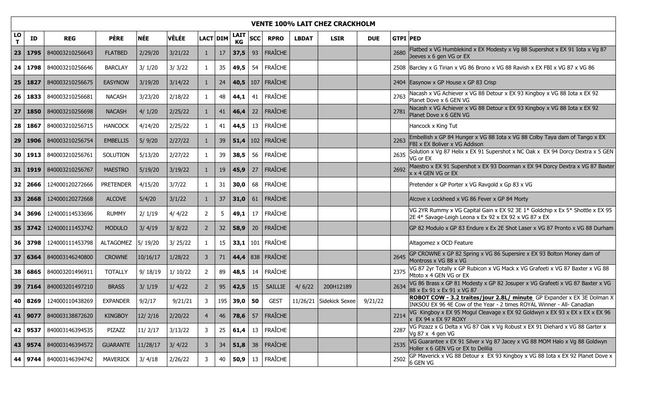|         | <b>VENTE 100% LAIT CHEZ CRACKHOLM</b> |                             |                  |          |         |                 |    |                   |            |                          |              |                         |            |                 |                                                                                                                                                  |
|---------|---------------------------------------|-----------------------------|------------------|----------|---------|-----------------|----|-------------------|------------|--------------------------|--------------|-------------------------|------------|-----------------|--------------------------------------------------------------------------------------------------------------------------------------------------|
| LO<br>T | ID                                    | <b>REG</b>                  | <b>PÈRE</b>      | NÉE      | VÊLÉE   | <b>LACT DIM</b> |    | LAIT<br><b>KG</b> | <b>SCC</b> | <b>RPRO</b>              | <b>LBDAT</b> | <b>LSIR</b>             | <b>DUE</b> | <b>GTPI PED</b> |                                                                                                                                                  |
| 23      | 1795                                  | 840003210256643             | <b>FLATBED</b>   | 2/29/20  | 3/21/22 | $\mathbf{1}$    | 17 | 37,5              | 93         | FRAÎCHE                  |              |                         |            | 2680            | Flatbed x VG Humblekind x EX Modesty x Vg 88 Supershot x EX 91 Iota x Vg 87<br>Jeeves x 6 gen VG or EX                                           |
| 24      |                                       | 1798 840003210256646        | <b>BARCLAY</b>   | 3/1/20   | 3/3/22  | 1               | 35 | 49,5              | 54         | FRAÎCHE                  |              |                         |            |                 | 2508 Barcley x G Tirian x VG 86 Brono x VG 88 Ravish x EX FBI x VG 87 x VG 86                                                                    |
| 25      | 1827                                  | 840003210256675             | <b>EASYNOW</b>   | 3/19/20  | 3/14/22 | $\mathbf{1}$    | 24 |                   |            | 40,5 $\vert$ 107 FRAÎCHE |              |                         |            |                 | 2404 Easynow x GP House x GP 83 Crisp                                                                                                            |
| 26      |                                       | 1833   840003210256681      | <b>NACASH</b>    | 3/23/20  | 2/18/22 | 1               | 48 | 44,1              | $-41$      | FRAÎCHE                  |              |                         |            | 2763            | Nacash x VG Achiever x VG 88 Detour x EX 93 Kingboy x VG 88 Iota x EX 92<br>Planet Dove x 6 GEN VG                                               |
| 27      | 1850                                  | 840003210256698             | <b>NACASH</b>    | 4/1/20   | 2/25/22 | 1               | 41 | 46,4              | 22         | <b>FRAÎCHE</b>           |              |                         |            | 2781            | Nacash x VG Achiever x VG 88 Detour x EX 93 Kingboy x VG 88 Iota x EX 92<br>Planet Dove x 6 GEN VG                                               |
| 28      | 1867                                  | 840003210256715             | <b>HANCOCK</b>   | 4/14/20  | 2/25/22 | 1               | 41 | 44,5              | 13         | FRAÎCHE                  |              |                         |            |                 | Hancock x King Tut                                                                                                                               |
| 29      | 1906                                  | 840003210256754             | <b>EMBELLIS</b>  | 5/9/20   | 2/27/22 | 1               | 39 | 51,4              |            | 102 FRAÎCHE              |              |                         |            | 2263            | Embellish x GP 84 Hunger x VG 88 Iota x VG 88 Colby Taya dam of Tango x EX<br>FBI x EX Boliver x VG Addison                                      |
|         |                                       | 30   1913   840003210256761 | SOLUTION         | 5/13/20  | 2/27/22 | 1               | 39 | 38,5              | 56         | FRAÎCHE                  |              |                         |            | 2635            | Solution x Vg 87 Helix x EX 91 Supershot x NC Oak x EX 94 Dorcy Dextra x 5 GEN<br>VG or EX                                                       |
|         | 31   1919                             | 840003210256767             | <b>MAESTRO</b>   | 5/19/20  | 3/19/22 | $\mathbf{1}$    | 19 | 45,9              | 27         | FRAÎCHE                  |              |                         |            | 2692            | Maestro x EX 91 Supershot x EX 93 Doorman x EX 94 Dorcy Dextra x VG 87 Baxter<br>x x 4 GEN VG or EX                                              |
| 32      | 2666                                  | 124000120272666             | <b>PRETENDER</b> | 4/15/20  | 3/7/22  | 1               | 31 | 30,0              | 68         | FRAÎCHE                  |              |                         |            |                 | Pretender x GP Porter x VG Ravgold x Gp 83 x VG                                                                                                  |
| 33      | 2668                                  | 124000120272668             | <b>ALCOVE</b>    | 5/4/20   | 3/1/22  | $\mathbf{1}$    | 37 | 31,0              | 61         | FRAÎCHE                  |              |                         |            |                 | Alcove x Lockheed x VG 86 Fever x GP 84 Morty                                                                                                    |
| 34      | 3696                                  | 124000114533696             | <b>RUMMY</b>     | 2/1/19   | 4/4/22  | $\overline{2}$  | 5  | 49,1              | 17         | FRAÎCHE                  |              |                         |            |                 | VG 2YR Rummy x VG Capital Gain x EX 92 3E 1* Goldchip x Ex 5* Shottle x EX 95<br>2E 4* Savage-Leigh Leona x Ex 92 x EX 92 x VG 87 x EX           |
|         | 35 3742                               | 124000111453742             | <b>MODULO</b>    | 3/4/19   | 3/8/22  | $\overline{2}$  | 32 | 58,9              | 20         | FRAÎCHE                  |              |                         |            |                 | GP 82 Modulo x GP 83 Endure x Ex 2E Shot Laser x VG 87 Pronto x VG 88 Durham                                                                     |
|         | 36 3798                               | 124000111453798             | <b>ALTAGOMEZ</b> | 5/19/20  | 3/25/22 | 1               | 15 | 33,1              | 101        | FRAÎCHE                  |              |                         |            |                 | Altagomez x OCD Feature                                                                                                                          |
| 37      | 6364                                  | 840003146240800             | <b>CROWNE</b>    | 10/16/17 | 1/28/22 | 3               | 71 |                   |            | 44,4 838 FRAÎCHE         |              |                         |            | 2645            | GP CROWNE x GP 82 Spring x VG 86 Supersire x EX 93 Bolton Money dam of<br>Montross x VG 88 x VG                                                  |
|         |                                       | 38 6865 840003201496911     | <b>TOTALLY</b>   | 9/18/19  | 1/10/22 | $\overline{2}$  | 89 | 48,5              | 14         | FRAÎCHE                  |              |                         |            | 2375            | VG 87 2yr Totally x GP Rubicon x VG Mack x VG Grafeeti x VG 87 Baxter x VG 88<br>Mtoto x 4 GEN VG or EX                                          |
|         | 39 7164                               | 840003201497210             | <b>BRASS</b>     | 3/1/19   | 1/4/22  | $\overline{2}$  | 95 | 42,5              | 15         | SAILLIE                  | 4/6/22       | 200H12189               |            | 2634            | VG 86 Brass x GP 81 Modesty x GP 82 Josuper x VG Grafeeti x VG 87 Baxter x VG<br>88 x Ex 91 x Ex 91 x VG 87                                      |
|         |                                       | 40 8269 124000110438269     | <b>EXPANDER</b>  | 9/2/17   | 9/21/21 | 3               |    | $195$ 39,0 50     |            | <b>GEST</b>              |              | 11/26/21 Sidekick Sexee | 9/21/22    |                 | ROBOT COW - 3.2 traites/jour 2.8L/ minute GP Expander x EX 3E Dolman X<br>INKSOU EX 96 4E Cow of the Year - 2 times ROYAL Winner - All- Canadian |
|         | 41   9077                             | 840003138872620             | <b>KINGBOY</b>   | 12/2/16  | 2/20/22 | $\overline{4}$  | 46 | 78,6              | 57         | <b>FRAÎCHE</b>           |              |                         |            | 2214            | VG Kingboy x EX 95 Mogul Cleavage x EX 92 Goldwyn x EX 93 x EX x EX x EX 96<br>$x$ EX 94 x EX 97 ROXY                                            |
|         | 42 9537                               | 840003146394535             | PIZAZZ           | 11/2/17  | 3/13/22 | 3               | 25 | 61,4              |            | 13 FRAÎCHE               |              |                         |            | 2287            | VG Pizazz x G Delta x VG 87 Oak x Vg Robust x EX 91 Diehard x VG 88 Garter x<br>Vg 87 x 4 gen VG                                                 |
|         |                                       | 43   9574   840003146394572 | <b>GUARANTE</b>  | 11/28/17 | 3/4/22  | 3               | 34 | 51,8              | 38         | FRAÎCHE                  |              |                         |            | 2535            | VG Guarantee x EX 91 Silver x Vg 87 Jacey x VG 88 MOM Halo x Vg 88 Goldwyn<br>Holler x 6 GEN VG or EX to Delilia                                 |
|         |                                       | 44   9744   840003146394742 | MAVERICK         | 3/4/18   | 2/26/22 | 3               | 40 | 50,9              | 13         | FRAÎCHE                  |              |                         |            | 2502            | GP Maverick x VG 88 Detour x EX 93 Kingboy x VG 88 Iota x EX 92 Planet Dove x<br>6 GEN VG                                                        |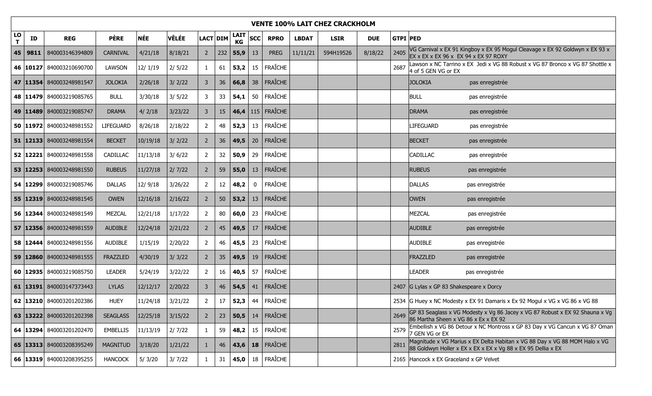|         | <b>VENTE 100% LAIT CHEZ CRACKHOLM</b> |                              |                  |            |              |                |          |                   |             |                |              |             |            |                 |                                                                                                                                            |
|---------|---------------------------------------|------------------------------|------------------|------------|--------------|----------------|----------|-------------------|-------------|----------------|--------------|-------------|------------|-----------------|--------------------------------------------------------------------------------------------------------------------------------------------|
| LO<br>T | ID                                    | <b>REG</b>                   | <b>PÈRE</b>      | <b>NÉE</b> | <b>VÊLÉE</b> |                | LACT DIM | <b>LAIT</b><br>KG | <b>SCC</b>  | <b>RPRO</b>    | <b>LBDAT</b> | <b>LSIR</b> | <b>DUE</b> | <b>GTPI PED</b> |                                                                                                                                            |
|         | $45 \mid 9811$                        | 840003146394809              | <b>CARNIVAL</b>  | 4/21/18    | 8/18/21      | $\overline{2}$ | 232      | 55,9              | 13          | <b>PREG</b>    | 11/11/21     | 594H19526   | 8/18/22    | 2405            | VG Carnival x EX 91 Kingboy x EX 95 Mogul Cleavage x EX 92 Goldwyn x EX 93 x<br>EX x EX x EX 96 x EX 94 x EX 97 ROXY                       |
|         |                                       | 46   10127 840003210690700   | LAWSON           | 12/1/19    | 2/5/22       | $\mathbf{1}$   | 61       | 53,2              | 15          | FRAÎCHE        |              |             |            | 2687            | Lawson x NC Tarrino x EX Jedi x VG 88 Robust x VG 87 Bronco x VG 87 Shottle x<br>4 of 5 GEN VG or EX                                       |
|         |                                       | 47   11354   840003248981547 | <b>JOLOKIA</b>   | 2/26/18    | 3/2/22       | $\mathbf{3}$   | 36       | 66,8              | 38          | <b>FRAÎCHE</b> |              |             |            |                 | <b>JOLOKIA</b><br>pas enregistrée                                                                                                          |
|         |                                       | 48   11479   840003219085765 | <b>BULL</b>      | 3/30/18    | 3/5/22       | 3              | 33       | 54,1              | 50          | FRAÎCHE        |              |             |            |                 | <b>BULL</b><br>pas enregistrée                                                                                                             |
|         |                                       | 49   11489   840003219085747 | <b>DRAMA</b>     | 4/2/18     | 3/23/22      | $\mathbf{3}$   | 15       | 46,4              |             | $115$ FRAÎCHE  |              |             |            |                 | <b>DRAMA</b><br>pas enregistrée                                                                                                            |
|         |                                       | 50   11972   840003248981552 | <b>LIFEGUARD</b> | 8/26/18    | 2/18/22      | $\overline{2}$ | 48       | 52,3              | 13          | FRAÎCHE        |              |             |            |                 | <b>LIFEGUARD</b><br>pas enregistrée                                                                                                        |
|         |                                       | 51 12133 840003248981554     | <b>BECKET</b>    | 10/19/18   | 3/2/22       | $\overline{2}$ | 36       | 49,5              | 20          | <b>FRAÎCHE</b> |              |             |            |                 | <b>BECKET</b><br>pas enregistrée                                                                                                           |
|         |                                       | 52 12221 840003248981558     | CADILLAC         | 11/13/18   | 3/6/22       | $\overline{2}$ | 32       | 50,9              | 29          | FRAÎCHE        |              |             |            |                 | CADILLAC<br>pas enregistrée                                                                                                                |
|         |                                       | 53   12253   840003248981550 | <b>RUBEUS</b>    | 11/27/18   | 2/7/22       | $\overline{2}$ | 59       | 55,0              | 13          | <b>FRAÎCHE</b> |              |             |            |                 | <b>RUBEUS</b><br>pas enregistrée                                                                                                           |
|         |                                       | 54   12299   840003219085746 | <b>DALLAS</b>    | 12/9/18    | 3/26/22      | $\overline{2}$ | 12       | 48,2              | $\mathbf 0$ | <b>FRAÎCHE</b> |              |             |            |                 | <b>DALLAS</b><br>pas enregistrée                                                                                                           |
|         |                                       | 55   12319   840003248981545 | <b>OWEN</b>      | 12/16/18   | 2/16/22      | $\overline{2}$ | 50       | 53,2              | 13          | <b>FRAÎCHE</b> |              |             |            |                 | OWEN<br>pas enregistrée                                                                                                                    |
|         |                                       | 56   12344   840003248981549 | MEZCAL           | 12/21/18   | 1/17/22      | $\overline{2}$ | 80       | 60,0              | 23          | FRAÎCHE        |              |             |            |                 | MEZCAL<br>pas enregistrée                                                                                                                  |
|         |                                       | 57   12356   840003248981559 | <b>AUDIBLE</b>   | 12/24/18   | 2/21/22      | $\overline{2}$ | 45       | 49,5              | 17          | <b>FRAÎCHE</b> |              |             |            |                 | AUDIBLE<br>pas enregistrée                                                                                                                 |
|         |                                       | 58   12444   840003248981556 | AUDIBLE          | 1/15/19    | 2/20/22      | $\overline{2}$ | 46       | 45,5              | 23          | FRAÎCHE        |              |             |            |                 | <b>AUDIBLE</b><br>pas enregistrée                                                                                                          |
|         |                                       | 59   12860   840003248981555 | <b>FRAZZLED</b>  | 4/30/19    | 3/3/22       | $\overline{2}$ | 35       | 49,5              | 19          | <b>FRAÎCHE</b> |              |             |            |                 | FRAZZLED<br>pas enregistrée                                                                                                                |
|         |                                       | 60   12935   840003219085750 | <b>LEADER</b>    | 5/24/19    | 3/22/22      | $\overline{2}$ | 16       | 40,5              | 57          | FRAÎCHE        |              |             |            |                 | <b>LEADER</b><br>pas enregistrée                                                                                                           |
|         |                                       | 61   13191   840003147373443 | <b>LYLAS</b>     | 12/12/17   | 2/20/22      | $\mathbf{3}$   | 46       | 54,5              | 41          | <b>FRAÎCHE</b> |              |             |            |                 | 2407 G Lylas x GP 83 Shakespeare x Dorcy                                                                                                   |
|         |                                       | 62   13210   840003201202386 | <b>HUEY</b>      | 11/24/18   | 3/21/22      | $\overline{2}$ | 17       | 52,3              | 44          | FRAÎCHE        |              |             |            |                 | 2534 G Huey x NC Modesty x EX 91 Damaris x Ex 92 Mogul x VG x VG 86 x VG 88                                                                |
|         |                                       | 63 13222 840003201202398     | <b>SEAGLASS</b>  | 12/25/18   | 3/15/22      | $\overline{2}$ | 23       | 50,5              | 14          | <b>FRAÎCHE</b> |              |             |            | 2649            | GP 83 Seaglass x VG Modesty x Vg 86 Jacey x VG 87 Robust x EX 92 Shauna x Vg<br>86 Martha Sheen x VG 86 x Ex x EX 92                       |
|         |                                       | 64 13294 840003201202470     | <b>EMBELLIS</b>  | 11/13/19   | 2/7/22       | $\mathbf{1}$   | 59       | 48,2              | 15          | FRAÎCHE        |              |             |            | 2579            | Embellish x VG 86 Detour x NC Montross x GP 83 Day x VG Cancun x VG 87 Oman<br>7 GEN VG or EX                                              |
|         |                                       | 65   13313   840003208395249 | <b>MAGNITUD</b>  | 3/18/20    | 1/21/22      | $\mathbf{1}$   | 46       | 43,6              |             | $18$ FRAÎCHE   |              |             |            | 2811            | Magnitude x VG Marius x EX Delta Habitan x VG 88 Day x VG 88 MOM Halo x VG<br>88 Goldwyn Holler x EX x EX x EX x Vg 88 x EX 95 Dellia x EX |
|         |                                       | 66   13319   840003208395255 | <b>HANCOCK</b>   | 5/3/20     | 3/7/22       |                | 31       | 45,0              | 18          | FRAÎCHE        |              |             |            |                 | 2165 Hancock x EX Graceland x GP Velvet                                                                                                    |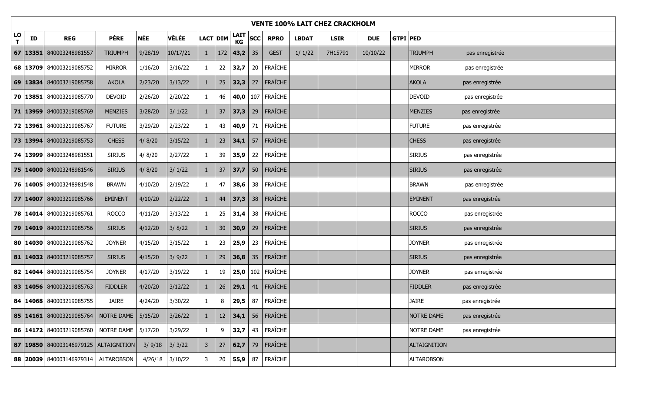|         | <b>VENTE 100% LAIT CHEZ CRACKHOLM</b> |                                             |                      |            |          |                |                 |                   |            |                |              |             |            |                 |                   |                 |
|---------|---------------------------------------|---------------------------------------------|----------------------|------------|----------|----------------|-----------------|-------------------|------------|----------------|--------------|-------------|------------|-----------------|-------------------|-----------------|
| LO<br>T | ID                                    | <b>REG</b>                                  | <b>PÈRE</b>          | <b>NÉE</b> | VÊLÉE    | LACT DIM       |                 | <b>LAIT</b><br>KG | <b>SCC</b> | <b>RPRO</b>    | <b>LBDAT</b> | <b>LSIR</b> | <b>DUE</b> | <b>GTPI PED</b> |                   |                 |
|         |                                       | 67   13351   840003248981557                | <b>TRIUMPH</b>       | 9/28/19    | 10/17/21 | $\mathbf{1}$   | 172             | 43,2              | 35         | <b>GEST</b>    | 1/1/22       | 7H15791     | 10/10/22   |                 | <b>TRIUMPH</b>    | pas enregistrée |
|         |                                       | 68 13709 840003219085752                    | <b>MIRROR</b>        | 1/16/20    | 3/16/22  | $\mathbf{1}$   | 22              | 32,7              | 20         | <b>FRAÎCHE</b> |              |             |            |                 | <b>MIRROR</b>     | pas enregistrée |
|         |                                       | 69   13834   840003219085758                | <b>AKOLA</b>         | 2/23/20    | 3/13/22  | $\mathbf{1}$   | 25              | 32,3              | 27         | FRAÎCHE        |              |             |            |                 | <b>AKOLA</b>      | pas enregistrée |
|         |                                       | 70   13851   840003219085770                | <b>DEVOID</b>        | 2/26/20    | 2/20/22  | $\mathbf{1}$   | 46              | 40,0              |            | 107 FRAÎCHE    |              |             |            |                 | <b>DEVOID</b>     | pas enregistrée |
|         |                                       | 71   13959 840003219085769                  | <b>MENZIES</b>       | 3/28/20    | 3/1/22   | $\mathbf{1}$   | 37              | 37,3              | 29         | <b>FRAÎCHE</b> |              |             |            |                 | MENZIES           | pas enregistrée |
|         |                                       | 72   13961 840003219085767                  | <b>FUTURE</b>        | 3/29/20    | 2/23/22  | $\mathbf{1}$   | 43              | 40,9              | 71         | <b>FRAÎCHE</b> |              |             |            |                 | <b>FUTURE</b>     | pas enregistrée |
|         |                                       | 73   13994 840003219085753                  | <b>CHESS</b>         | 4/ 8/20    | 3/15/22  | $\mathbf{1}$   | 23              | 34,1              | 57         | <b>FRAÎCHE</b> |              |             |            |                 | <b>CHESS</b>      | pas enregistrée |
|         |                                       | 74   13999   840003248981551                | <b>SIRIUS</b>        | 4/8/20     | 2/27/22  | $\mathbf{1}$   | 39              | 35,9              | 22         | FRAÎCHE        |              |             |            |                 | <b>SIRIUS</b>     | pas enregistrée |
|         |                                       | 75   14000   840003248981546                | <b>SIRIUS</b>        | 4/ 8/20    | 3/1/22   | $\mathbf{1}$   | 37              | 37,7              | 50         | <b>FRAÎCHE</b> |              |             |            |                 | <b>SIRIUS</b>     | pas enregistrée |
|         |                                       | 76   14005   840003248981548                | <b>BRAWN</b>         | 4/10/20    | 2/19/22  | $\mathbf{1}$   | 47              | 38,6              | 38         | <b>FRAÎCHE</b> |              |             |            |                 | <b>BRAWN</b>      | pas enregistrée |
|         |                                       | 77   14007   840003219085766                | <b>EMINENT</b>       | 4/10/20    | 2/22/22  | $\mathbf{1}$   | 44              | 37,3              | 38         | FRAÎCHE        |              |             |            |                 | <b>EMINENT</b>    | pas enregistrée |
|         |                                       | 78   14014 840003219085761                  | <b>ROCCO</b>         | 4/11/20    | 3/13/22  | $\mathbf{1}$   | 25              | 31,4              | 38         | FRAÎCHE        |              |             |            |                 | <b>ROCCO</b>      | pas enregistrée |
|         |                                       | 79   14019   840003219085756                | <b>SIRIUS</b>        | 4/12/20    | 3/8/22   | $\mathbf{1}$   | 30 <sup>°</sup> | 30,9              | 29         | FRAÎCHE        |              |             |            |                 | <b>SIRIUS</b>     | pas enregistrée |
|         |                                       | 80   14030   840003219085762                | <b>JOYNER</b>        | 4/15/20    | 3/15/22  | $\mathbf{1}$   | 23              | 25,9              | 23         | <b>FRAÎCHE</b> |              |             |            |                 | <b>JOYNER</b>     | pas enregistrée |
|         | 81   14032                            | 840003219085757                             | <b>SIRIUS</b>        | 4/15/20    | 3/9/22   | $\mathbf{1}$   | 29              | 36,8              | 35         | FRAÎCHE        |              |             |            |                 | <b>SIRIUS</b>     | pas enregistrée |
|         |                                       | 82   14044 840003219085754                  | <b>JOYNER</b>        | 4/17/20    | 3/19/22  | $\mathbf{1}$   | 19              | 25,0              |            | 102 FRAÎCHE    |              |             |            |                 | <b>JOYNER</b>     | pas enregistrée |
|         |                                       | 83   14056   840003219085763                | <b>FIDDLER</b>       | 4/20/20    | 3/12/22  | $\mathbf{1}$   | 26              | 29,1              | 41         | FRAÎCHE        |              |             |            |                 | <b>FIDDLER</b>    | pas enregistrée |
|         |                                       | 84   14068   840003219085755                | <b>JAIRE</b>         | 4/24/20    | 3/30/22  | $\mathbf{1}$   | 8               | 29,5              | 87         | <b>FRAÎCHE</b> |              |             |            |                 | <b>JAIRE</b>      | pas enregistrée |
|         |                                       | 85 14161 840003219085764                    | NOTRE DAME           | 5/15/20    | 3/26/22  | $\mathbf{1}$   | 12              | 34,1              | 56         | <b>FRAÎCHE</b> |              |             |            |                 | NOTRE DAME        | pas enregistrée |
|         |                                       | 86   14172   840003219085760                | NOTRE DAME   5/17/20 |            | 3/29/22  | $\mathbf{1}$   | 9               | 32,7              | 43         | FRAÎCHE        |              |             |            |                 | NOTRE DAME        | pas enregistrée |
|         |                                       | 87   19850   840003146979125   ALTAIGNITION |                      | 3/9/18     | 3/3/22   | $\overline{3}$ | 27              | 62,7              | 79         | FRAÎCHE        |              |             |            |                 | ALTAIGNITION      |                 |
|         |                                       | 88 20039 840003146979314                    | ALTAROBSON           | 4/26/18    | 3/10/22  | 3              | 20              | 55,9              | 87         | <b>FRAÎCHE</b> |              |             |            |                 | <b>ALTAROBSON</b> |                 |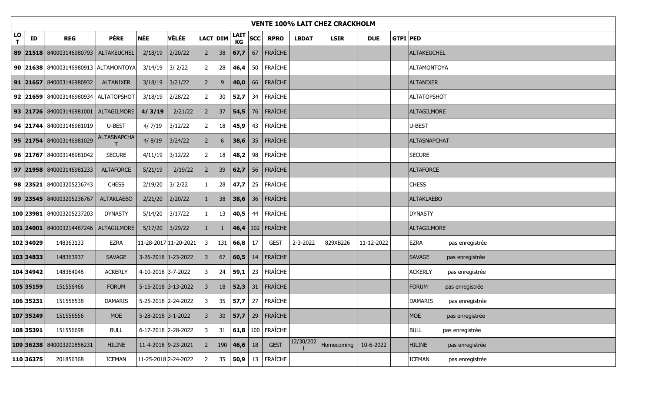|         | <b>VENTE 100% LAIT CHEZ CRACKHOLM</b> |                                      |                    |                      |                       |                |                 |                 |            |                         |              |             |            |                 |                     |                 |
|---------|---------------------------------------|--------------------------------------|--------------------|----------------------|-----------------------|----------------|-----------------|-----------------|------------|-------------------------|--------------|-------------|------------|-----------------|---------------------|-----------------|
| LO<br>T | ID                                    | <b>REG</b>                           | <b>PÈRE</b>        | <b>NÉE</b>           | <b>VÊLÉE</b>          |                | LACT DIM        | LAIT<br>КG      | <b>SCC</b> | <b>RPRO</b>             | <b>LBDAT</b> | <b>LSIR</b> | <b>DUE</b> | <b>GTPI PED</b> |                     |                 |
|         |                                       | 89 21518 840003146980793             | ALTAKEUCHEL        | 2/18/19              | 2/20/22               | $\overline{2}$ | 38              | 67,7            | 67         | FRAÎCHE                 |              |             |            |                 | ALTAKEUCHEL         |                 |
|         |                                       | 90 21638 840003146980913 ALTAMONTOYA |                    | 3/14/19              | 3/2/22                | $\overline{2}$ | 28              | 46,4            | 50         | FRAÎCHE                 |              |             |            |                 | <b>ALTAMONTOYA</b>  |                 |
|         |                                       | 91 21657 840003146980932             | ALTANIXER          | 3/18/19              | 3/21/22               | $2^{\circ}$    | 9               | 40,0            | 66         | FRAÎCHE                 |              |             |            |                 | <b>ALTANIXER</b>    |                 |
|         |                                       | 92 21659 840003146980934 ALTATOPSHOT |                    | 3/18/19              | 2/28/22               | $\overline{2}$ | 30 <sub>o</sub> | 52,7            | 34         | FRAÎCHE                 |              |             |            |                 | <b>ALTATOPSHOT</b>  |                 |
|         |                                       | 93 21726 840003146981001 ALTAGILMORE |                    | 4/3/19               | 2/21/22               | $\overline{2}$ | 37              | 54,5            | 76         | FRAÎCHE                 |              |             |            |                 | <b>ALTAGILMORE</b>  |                 |
|         |                                       | 94 21744 840003146981019             | U-BEST             | 4/7/19               | 3/12/22               | $\overline{2}$ | 18              | 45,9            | 43         | FRAÎCHE                 |              |             |            |                 | U-BEST              |                 |
|         |                                       | 95 21754 840003146981029             | <b>ALTASNAPCHA</b> | 4/8/19               | 3/24/22               | $2^{\circ}$    | $6^{\circ}$     | 38,6            | 35         | FRAÎCHE                 |              |             |            |                 | <b>ALTASNAPCHAT</b> |                 |
|         |                                       | 96 21767 840003146981042             | <b>SECURE</b>      | 4/11/19              | 3/12/22               | $\overline{2}$ | 18              | 48,2            | 98         | FRAÎCHE                 |              |             |            |                 | <b>SECURE</b>       |                 |
|         |                                       | 97 21958 840003146981233             | <b>ALTAFORCE</b>   | 5/21/19              | 2/19/22               | $2^{\circ}$    | 39              | 62,7            | 56         | FRAÎCHE                 |              |             |            |                 | <b>ALTAFORCE</b>    |                 |
|         |                                       | 98 23521 840003205236743             | <b>CHESS</b>       | 2/19/20              | 3/2/22                | $\mathbf{1}$   | 28              | 47,7            | 25         | FRAÎCHE                 |              |             |            |                 | <b>CHESS</b>        |                 |
|         |                                       | 99 23545 840003205236767             | <b>ALTAKLAEBO</b>  | 2/21/20              | 2/20/22               | $\mathbf{1}$   | 38              | 38,6            |            | $36$ FRAÎCHE            |              |             |            |                 | <b>ALTAKLAEBO</b>   |                 |
|         |                                       | 100 23981 840003205237203            | <b>DYNASTY</b>     | $5/14/20$ 3/17/22    |                       | $\mathbf{1}$   | 13              | 40,5            | 44         | FRAÎCHE                 |              |             |            |                 | <b>DYNASTY</b>      |                 |
|         |                                       | 101 24001 840003214487246            | ALTAGILMORE        | 5/17/20              | 3/29/22               | $\mathbf{1}$   | $\mathbf{1}$    |                 |            | 46,4 $102$ FRAÎCHE      |              |             |            |                 | <b>ALTAGILMORE</b>  |                 |
|         | 102 34029                             | 148363133                            | <b>EZRA</b>        |                      | 11-28-2017 11-20-2021 | 3              | 131             | 66,8            | 17         | <b>GEST</b>             | 2-3-2022     | 829XB226    | 11-12-2022 |                 | EZRA                | pas enregistrée |
|         | 103 34833                             | 148363937                            | SAVAGE             |                      | 3-26-2018 1-23-2022   | 3              | 67              | 60,5            | 14         | <b>FRAÎCHE</b>          |              |             |            |                 | <b>SAVAGE</b>       | pas enregistrée |
|         | 104 34942                             | 148364046                            | <b>ACKERLY</b>     | 4-10-2018 3-7-2022   |                       | 3              | 24              | 59,1            |            | 23   FRAÎCHE            |              |             |            |                 | <b>ACKERLY</b>      | pas enregistrée |
|         | 105 35159                             | 151556466                            | <b>FORUM</b>       |                      | 5-15-2018 3-13-2022   | 3              | 18              | 52,3            | 31         | FRAÎCHE                 |              |             |            |                 | <b>FORUM</b>        | pas enregistrée |
|         | 106 35231                             | 151556538                            | <b>DAMARIS</b>     | 5-25-2018 2-24-2022  |                       | $\mathbf{3}$   | 35              |                 |            | 57,7 $\vert$ 27 Fraîche |              |             |            |                 | <b>DAMARIS</b>      | pas enregistrée |
|         | 107 35249                             | 151556556                            | <b>MOE</b>         | 5-28-2018 3-1-2022   |                       | $\mathbf{3}$   | 30 <sub>o</sub> | 57,7            | 29         | <b>FRAÎCHE</b>          |              |             |            |                 | <b>MOE</b>          | pas enregistrée |
|         | 108 35391                             | 151556698                            | <b>BULL</b>        |                      | 6-17-2018 2-28-2022   | $\mathbf{3}$   | 31              |                 |            | 61,8 $ 100 $ FRAÎCHE    |              |             |            |                 | <b>BULL</b>         | pas enregistrée |
|         |                                       | 109 36238 840003201856231            | <b>HILINE</b>      | 11-4-2018 9-23-2021  |                       | $2^{\circ}$    |                 | 190   46,6   18 |            | <b>GEST</b>             | 12/30/202    | Homecoming  | 10-6-2022  |                 | <b>HILINE</b>       | pas enregistrée |
|         | 110 36375                             | 201856368                            | <b>ICEMAN</b>      | 11-25-2018 2-24-2022 |                       | $\overline{2}$ | 35              | 50,9            | 13         | FRAÎCHE                 |              |             |            |                 | <b>ICEMAN</b>       | pas enregistrée |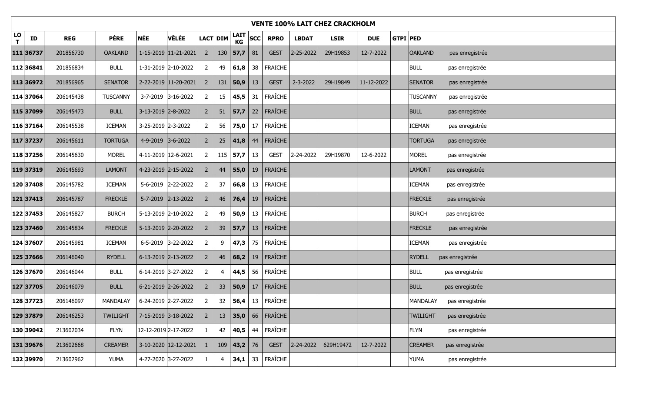|                    | <b>VENTE 100% LAIT CHEZ CRACKHOLM</b> |            |                 |                      |                      |                |                 |              |            |                |                   |             |            |                 |                 |                 |
|--------------------|---------------------------------------|------------|-----------------|----------------------|----------------------|----------------|-----------------|--------------|------------|----------------|-------------------|-------------|------------|-----------------|-----------------|-----------------|
| LO<br>$\mathbf{T}$ | ID                                    | <b>REG</b> | <b>PÈRE</b>     | <b>NÉE</b>           | <b>VÊLÉE</b>         |                | LACT DIM        | $LAIT$<br>KG | <b>SCC</b> | <b>RPRO</b>    | <b>LBDAT</b>      | <b>LSIR</b> | <b>DUE</b> | <b>GTPI PED</b> |                 |                 |
|                    | 111 36737                             | 201856730  | <b>OAKLAND</b>  |                      | 1-15-2019 11-21-2021 | $2^{\circ}$    |                 | $130$ 57,7   | 81         | <b>GEST</b>    | $2 - 25 - 2022$   | 29H19853    | 12-7-2022  |                 | <b>OAKLAND</b>  | pas enregistrée |
|                    | 112 36841                             | 201856834  | <b>BULL</b>     |                      | 1-31-2019 2-10-2022  | $\overline{2}$ | 49              | 61,8         | 38         | <b>FRAICHE</b> |                   |             |            |                 | <b>BULL</b>     | pas enregistrée |
|                    | 113 36972                             | 201856965  | <b>SENATOR</b>  |                      | 2-22-2019 11-20-2021 | $2^{\circ}$    | 131             | 50,9         | 13         | <b>GEST</b>    | 2-3-2022          | 29H19849    | 11-12-2022 |                 | <b>SENATOR</b>  | pas enregistrée |
|                    | 114 37064                             | 206145438  | <b>TUSCANNY</b> |                      | 3-7-2019 3-16-2022   | $\overline{2}$ | 15              | 45,5         | 31         | <b>FRAÎCHE</b> |                   |             |            |                 | <b>TUSCANNY</b> | pas enregistrée |
|                    | 115 37099                             | 206145473  | <b>BULL</b>     | 3-13-2019 2-8-2022   |                      | $\overline{2}$ | 51              | 57,7         | 22         | FRAÎCHE        |                   |             |            |                 | <b>BULL</b>     | pas enregistrée |
|                    | 116 37164                             | 206145538  | <b>ICEMAN</b>   | 3-25-2019 2-3-2022   |                      | $\overline{2}$ | 56              | 75,0         | 17         | FRAÎCHE        |                   |             |            |                 | ICEMAN          | pas enregistrée |
|                    | 117 37237                             | 206145611  | <b>TORTUGA</b>  | 4-9-2019 3-6-2022    |                      | $\overline{2}$ | 25              | 41,8         | 44         | <b>FRAÎCHE</b> |                   |             |            |                 | <b>TORTUGA</b>  | pas enregistrée |
|                    | 118 37256                             | 206145630  | <b>MOREL</b>    | 4-11-2019 12-6-2021  |                      | $\overline{2}$ |                 | $115$ 57,7   | 13         | <b>GEST</b>    | 2-24-2022         | 29H19870    | 12-6-2022  |                 | <b>MOREL</b>    | pas enregistrée |
|                    | 119 37319                             | 206145693  | <b>LAMONT</b>   | 4-23-2019 2-15-2022  |                      | $2^{\circ}$    | 44              | 55,0         | 19         | <b>FRAICHE</b> |                   |             |            |                 | <b>LAMONT</b>   | pas enregistrée |
|                    | 120 37408                             | 206145782  | <b>ICEMAN</b>   |                      | 5-6-2019 2-22-2022   | $\overline{2}$ | 37              | 66,8         | 13         | <b>FRAICHE</b> |                   |             |            |                 | ICEMAN          | pas enregistrée |
|                    | 121 37413                             | 206145787  | <b>FRECKLE</b>  |                      | 5-7-2019 2-13-2022   | $\overline{2}$ | 46              | 76,4         | 19         | <b>FRAÎCHE</b> |                   |             |            |                 | <b>FRECKLE</b>  | pas enregistrée |
|                    | 122 37453                             | 206145827  | <b>BURCH</b>    | 5-13-2019 2-10-2022  |                      | $\overline{2}$ | 49              | 50,9         | 13         | FRAÎCHE        |                   |             |            |                 | <b>BURCH</b>    | pas enregistrée |
|                    | 123 37460                             | 206145834  | <b>FRECKLE</b>  |                      | 5-13-2019 2-20-2022  | $2^{\circ}$    | 39              | 57,7         | 13         | <b>FRAÎCHE</b> |                   |             |            |                 | <b>FRECKLE</b>  | pas enregistrée |
|                    | 124 37607                             | 206145981  | <b>ICEMAN</b>   |                      | 6-5-2019 3-22-2022   | $\overline{2}$ | 9               | 47,3         | 75         | FRAÎCHE        |                   |             |            |                 | <b>ICEMAN</b>   | pas enregistrée |
|                    | 125 37666                             | 206146040  | <b>RYDELL</b>   |                      | 6-13-2019 2-13-2022  | $\overline{2}$ | 46              | 68,2         | 19         | <b>FRAÎCHE</b> |                   |             |            |                 | <b>RYDELL</b>   | pas enregistrée |
|                    | 126 37670                             | 206146044  | <b>BULL</b>     |                      | 6-14-2019 3-27-2022  | $\overline{2}$ | 4               | 44,5         | 56         | FRAÎCHE        |                   |             |            |                 | <b>BULL</b>     | pas enregistrée |
|                    | 127 37705                             | 206146079  | <b>BULL</b>     | 6-21-2019 2-26-2022  |                      | $\overline{2}$ | 33 <sup>°</sup> | 50,9         | 17         | <b>FRAÎCHE</b> |                   |             |            |                 | <b>BULL</b>     | pas enregistrée |
|                    | 128 37723                             | 206146097  | MANDALAY        | 6-24-2019 2-27-2022  |                      | $\overline{2}$ | 32              | 56,4         | 13         | FRAÎCHE        |                   |             |            |                 | <b>MANDALAY</b> | pas enregistrée |
|                    | 129 37879                             | 206146253  | <b>TWILIGHT</b> |                      | 7-15-2019 3-18-2022  | $2^{\circ}$    | 13              | 35,0         | 66         | <b>FRAÎCHE</b> |                   |             |            |                 | <b>TWILIGHT</b> | pas enregistrée |
|                    | 130 39042                             | 213602034  | <b>FLYN</b>     | 12-12-2019 2-17-2022 |                      | $\mathbf{1}$   | 42              | 40,5         | 44         | <b>FRAÎCHE</b> |                   |             |            |                 | <b>FLYN</b>     | pas enregistrée |
|                    | 131 39676                             | 213602668  | <b>CREAMER</b>  |                      | 3-10-2020 12-12-2021 | $\mathbf{1}$   | 109             | 43,2 76      |            | <b>GEST</b>    | $ 2 - 24 - 2022 $ | 629H19472   | 12-7-2022  |                 | <b>CREAMER</b>  | pas enregistrée |
|                    | 132 39970                             | 213602962  | <b>YUMA</b>     |                      | 4-27-2020 3-27-2022  | $\mathbf{1}$   | $\overline{4}$  | 34,1         | 33         | <b>FRAÎCHE</b> |                   |             |            |                 | YUMA            | pas enregistrée |